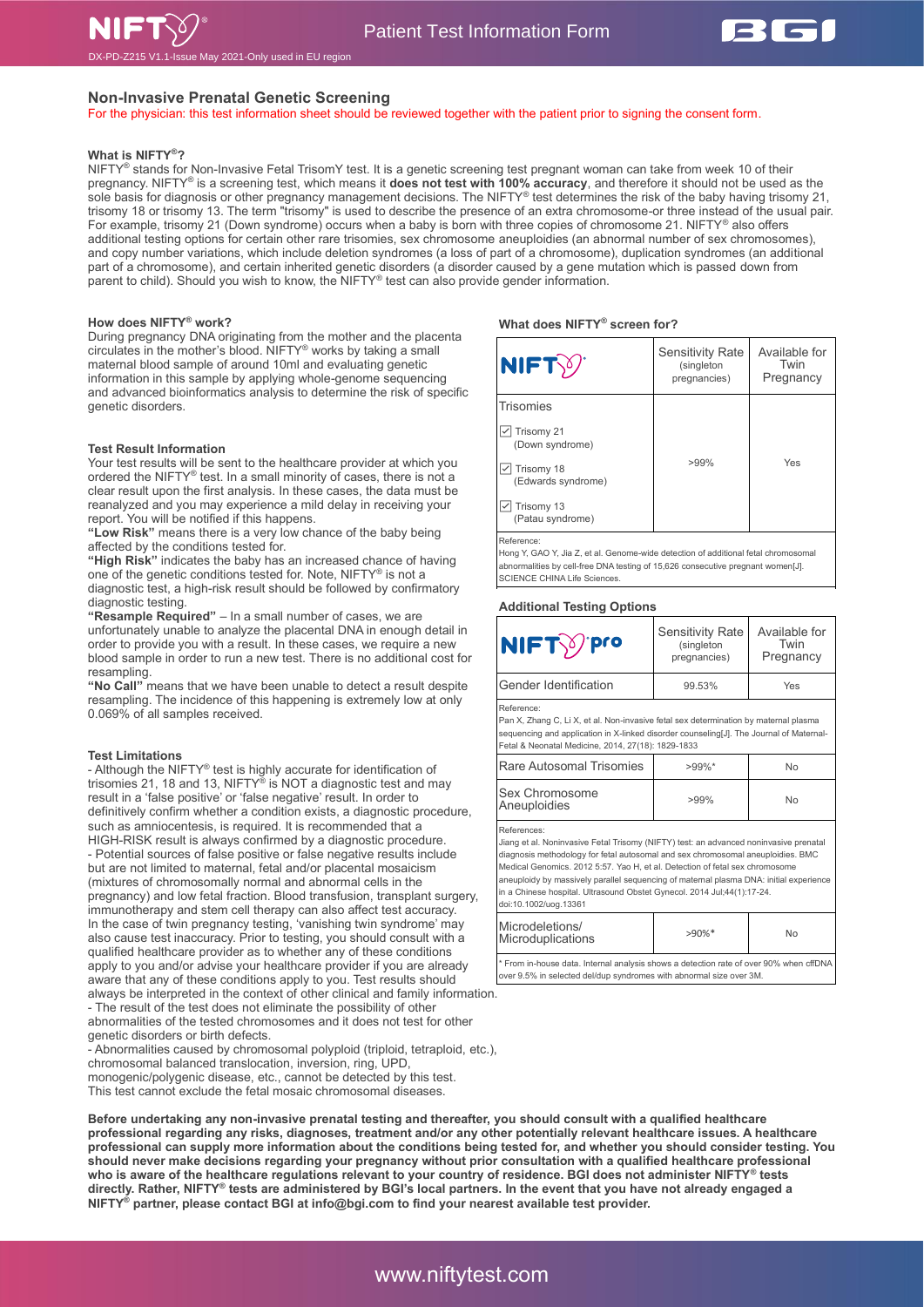

# **Non-Invasive Prenatal Genetic Screening**

For the physician: this test information sheet should be reviewed together with the patient prior to signing the consent form.

# **What is NIFTY®?**

NIFTY® stands for Non-Invasive Fetal TrisomY test. It is a genetic screening test pregnant woman can take from week 10 of their pregnancy. NIFTY® is a screening test, which means it **does not test with 100% accuracy**, and therefore it should not be used as the sole basis for diagnosis or other pregnancy management decisions. The NIFTY® test determines the risk of the baby having trisomy 21, trisomy 18 or trisomy 13. The term "trisomy" is used to describe the presence of an extra chromosome-or three instead of the usual pair. For example, trisomy 21 (Down syndrome) occurs when a baby is born with three copies of chromosome 21. NIFTY® also offers additional testing options for certain other rare trisomies, sex chromosome aneuploidies (an abnormal number of sex chromosomes), and copy number variations, which include deletion syndromes (a loss of part of a chromosome), duplication syndromes (an additional part of a chromosome), and certain inherited genetic disorders (a disorder caused by a gene mutation which is passed down from parent to child). Should you wish to know, the NIFTY® test can also provide gender information.

## **How does NIFTY® work?**

During pregnancy DNA originating from the mother and the placenta circulates in the mother's blood. NIFTY® works by taking a small maternal blood sample of around 10ml and evaluating genetic information in this sample by applying whole-genome sequencing and advanced bioinformatics analysis to determine the risk of specific genetic disorders.

## **Test Result Information**

Your test results will be sent to the healthcare provider at which you ordered the NIFTY® test. In a small minority of cases, there is not a clear result upon the first analysis. In these cases, the data must be reanalyzed and you may experience a mild delay in receiving your report. You will be notified if this happens.

**"Low Risk"** means there is a very low chance of the baby being affected by the conditions tested for.

**"High Risk"** indicates the baby has an increased chance of having one of the genetic conditions tested for. Note, NIFTY® is not a diagnostic test, a high-risk result should be followed by confirmatory diagnostic testing.

**"Resample Required"** – In a small number of cases, we are unfortunately unable to analyze the placental DNA in enough detail in order to provide you with a result. In these cases, we require a new blood sample in order to run a new test. There is no additional cost for resampling.

**"No Call"** means that we have been unable to detect a result despite resampling. The incidence of this happening is extremely low at only 0.069% of all samples received.

## **Test Limitations**

- Although the NIFTY® test is highly accurate for identification of trisomies 21, 18 and 13, NIFTY® is NOT a diagnostic test and may result in a 'false positive' or 'false negative' result. In order to definitively confirm whether a condition exists, a diagnostic procedure, such as amniocentesis, is required. It is recommended that a HIGH-RISK result is always confirmed by a diagnostic procedure. - Potential sources of false positive or false negative results include but are not limited to maternal, fetal and/or placental mosaicism (mixtures of chromosomally normal and abnormal cells in the pregnancy) and low fetal fraction. Blood transfusion, transplant surgery, immunotherapy and stem cell therapy can also affect test accuracy. In the case of twin pregnancy testing, 'vanishing twin syndrome' may also cause test inaccuracy. Prior to testing, you should consult with a qualified healthcare provider as to whether any of these conditions apply to you and/or advise your healthcare provider if you are already aware that any of these conditions apply to you. Test results should always be interpreted in the context of other clinical and family information.

- The result of the test does not eliminate the possibility of other abnormalities of the tested chromosomes and it does not test for other genetic disorders or birth defects.

- Abnormalities caused by chromosomal polyploid (triploid, tetraploid, etc.), chromosomal balanced translocation, inversion, ring, UPD, monogenic/polygenic disease, etc., cannot be detected by this test. This test cannot exclude the fetal mosaic chromosomal diseases.

**Before undertaking any non-invasive prenatal testing and thereafter, you should consult with a qualified healthcare professional regarding any risks, diagnoses, treatment and/or any other potentially relevant healthcare issues. A healthcare professional can supply more information about the conditions being tested for, and whether you should consider testing. You should never make decisions regarding your pregnancy without prior consultation with a qualified healthcare professional who is aware of the healthcare regulations relevant to your country of residence. BGI does not administer NIFTY® tests directly. Rather, NIFTY® tests are administered by BGI's local partners. In the event that you have not already engaged a NIFTY® partner, please contact BGI at info@bgi.com to find your nearest available test provider.**

## **What does NIFTY® screen for?**

| NIFTY                            | <b>Sensitivity Rate</b><br>(singleton<br>pregnancies) | Available for<br>Twin<br>Pregnancy |  |
|----------------------------------|-------------------------------------------------------|------------------------------------|--|
| <b>Trisomies</b>                 |                                                       |                                    |  |
| Trisomy 21<br>(Down syndrome)    |                                                       |                                    |  |
| Trisomy 18<br>(Edwards syndrome) | $>99\%$                                               | Yes                                |  |
| Trisomy 13<br>(Patau syndrome)   |                                                       |                                    |  |
| Reference:                       |                                                       |                                    |  |

Hong Y, GAO Y, Jia Z, et al. Genome-wide detection of additional fetal chromosomal abnormalities by cell-free DNA testing of 15,626 consecutive pregnant women[J]. SCIENCE CHINA Life Sciences.

# **Additional Testing Options**

| NIFT y Pro                                                                                                                                                                                                                                                                                                                                                                                                                                                            | <b>Sensitivity Rate</b><br>(singleton<br>pregnancies) | Available for<br>Twin<br>Pregnancy |  |  |
|-----------------------------------------------------------------------------------------------------------------------------------------------------------------------------------------------------------------------------------------------------------------------------------------------------------------------------------------------------------------------------------------------------------------------------------------------------------------------|-------------------------------------------------------|------------------------------------|--|--|
| Gender Identification                                                                                                                                                                                                                                                                                                                                                                                                                                                 | 99.53%                                                | Yes                                |  |  |
| Reference:<br>Pan X, Zhang C, Li X, et al. Non-invasive fetal sex determination by maternal plasma<br>sequencing and application in X-linked disorder counseling[J]. The Journal of Maternal-<br>Fetal & Neonatal Medicine, 2014, 27(18): 1829-1833                                                                                                                                                                                                                   |                                                       |                                    |  |  |
| Rare Autosomal Trisomies                                                                                                                                                                                                                                                                                                                                                                                                                                              | $>99\%$ *                                             | <b>No</b>                          |  |  |
| Sex Chromosome<br>Aneuploidies                                                                                                                                                                                                                                                                                                                                                                                                                                        | $>99\%$                                               | <b>No</b>                          |  |  |
| References:<br>Jiang et al. Noninvasive Fetal Trisomy (NIFTY) test: an advanced noninvasive prenatal<br>diagnosis methodology for fetal autosomal and sex chromosomal aneuploidies. BMC<br>Medical Genomics. 2012 5:57. Yao H, et al. Detection of fetal sex chromosome<br>aneuploidy by massively parallel sequencing of maternal plasma DNA: initial experience<br>in a Chinese hospital. Ultrasound Obstet Gynecol. 2014 Jul;44(1):17-24.<br>doi:10.1002/uog.13361 |                                                       |                                    |  |  |
| Microdeletions/<br>Microduplications                                                                                                                                                                                                                                                                                                                                                                                                                                  | $>90\%$ *                                             | No                                 |  |  |
| * From in-house data. Internal analysis shows a detection rate of over 90% when cffDNA<br>over 9.5% in selected del/dup syndromes with abnormal size over 3M.                                                                                                                                                                                                                                                                                                         |                                                       |                                    |  |  |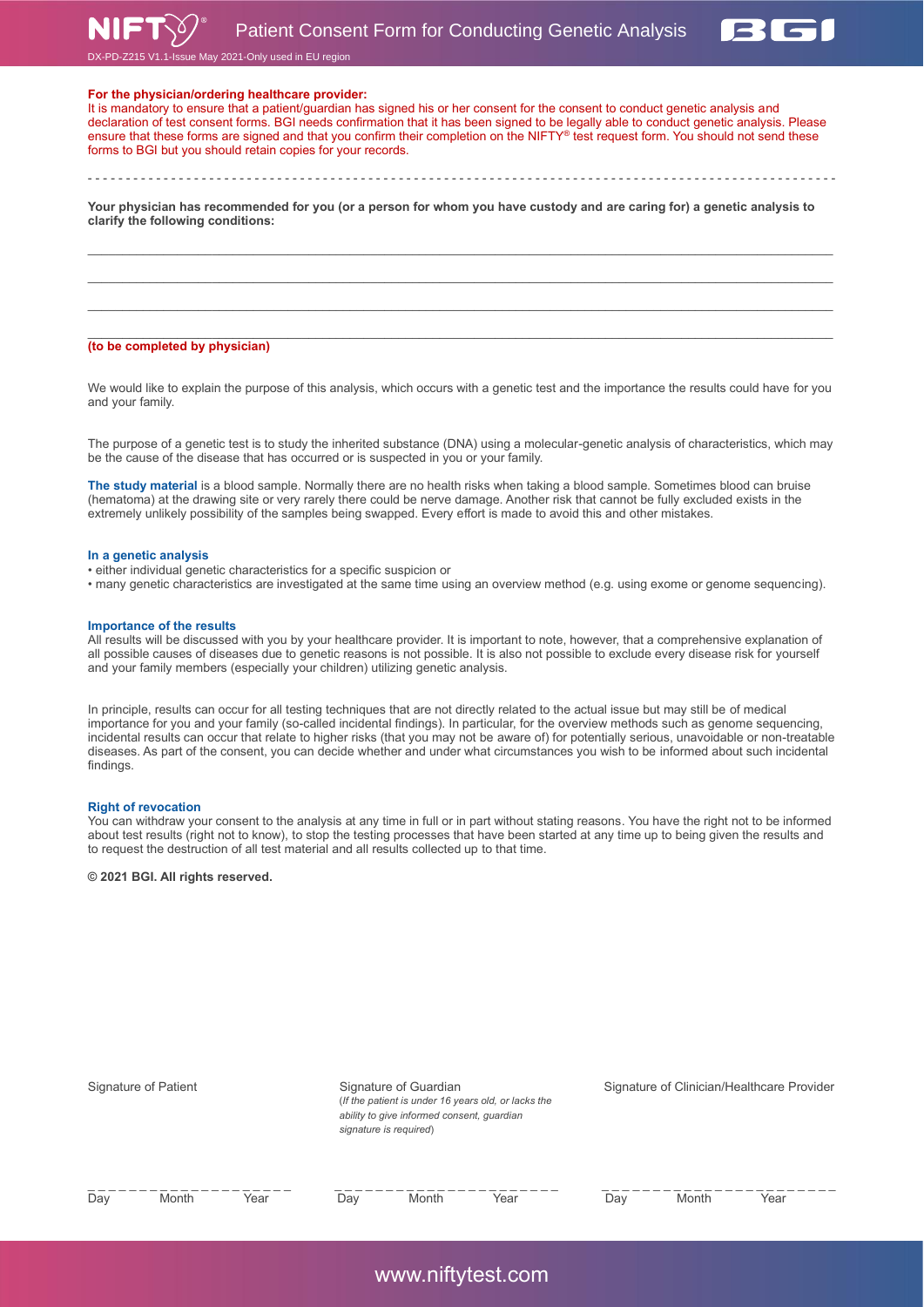Patient Consent Form for Conducting Genetic Analysis





V1.1-Issue May 2021-Only used in EU region

# **For the physician/ordering healthcare provider:**

It is mandatory to ensure that a patient/guardian has signed his or her consent for the consent to conduct genetic analysis and declaration of test consent forms. BGI needs confirmation that it has been signed to be legally able to conduct genetic analysis. Please ensure that these forms are signed and that you confirm their completion on the NIFTY® test request form. You should not send these forms to BGI but you should retain copies for your records.

- - - - - - - - - - - - - - - - - - - - - - - - - - - - - - - - - - - - - - - - - - - - - - - - - - - - - - - - - - - - - - - - - - - - - - - - - - - - - - - - - - - - - - - - - - - - - - - - - - -

**Your physician has recommended for you (or a person for whom you have custody and are caring for) a genetic analysis to clarify the following conditions:**

 $\_$  , and the state of the state of the state of the state of the state of the state of the state of the state of the state of the state of the state of the state of the state of the state of the state of the state of the  $\_$  , and the state of the state of the state of the state of the state of the state of the state of the state of the state of the state of the state of the state of the state of the state of the state of the state of the  $\mathcal{L}_\text{max}$ 

#### $\mathcal{L}_\text{max}$ **(to be completed by physician)**

We would like to explain the purpose of this analysis, which occurs with a genetic test and the importance the results could have for you and your family.

The purpose of a genetic test is to study the inherited substance (DNA) using a molecular-genetic analysis of characteristics, which may be the cause of the disease that has occurred or is suspected in you or your family.

**The study material** is a blood sample. Normally there are no health risks when taking a blood sample. Sometimes blood can bruise (hematoma) at the drawing site or very rarely there could be nerve damage. Another risk that cannot be fully excluded exists in the extremely unlikely possibility of the samples being swapped. Every effort is made to avoid this and other mistakes.

## **In a genetic analysis**

• either individual genetic characteristics for a specific suspicion or

• many genetic characteristics are investigated at the same time using an overview method (e.g. using exome or genome sequencing).

#### **Importance of the results**

All results will be discussed with you by your healthcare provider. It is important to note, however, that a comprehensive explanation of all possible causes of diseases due to genetic reasons is not possible. It is also not possible to exclude every disease risk for yourself and your family members (especially your children) utilizing genetic analysis.

In principle, results can occur for all testing techniques that are not directly related to the actual issue but may still be of medical importance for you and your family (so-called incidental findings). In particular, for the overview methods such as genome sequencing, incidental results can occur that relate to higher risks (that you may not be aware of) for potentially serious, unavoidable or non-treatable diseases. As part of the consent, you can decide whether and under what circumstances you wish to be informed about such incidental findings.

## **Right of revocation**

You can withdraw your consent to the analysis at any time in full or in part without stating reasons. You have the right not to be informed about test results (right not to know), to stop the testing processes that have been started at any time up to being given the results and to request the destruction of all test material and all results collected up to that time.

**© 2021 BGI. All rights reserved.**

| Signature of Patient |       | Signature of Guardian<br>(If the patient is under 16 years old, or lacks the<br>ability to give informed consent, guardian<br>signature is required) |     |       | Signature of Clinician/Healthcare Provider |     |       |      |
|----------------------|-------|------------------------------------------------------------------------------------------------------------------------------------------------------|-----|-------|--------------------------------------------|-----|-------|------|
| Day                  | Month | Year                                                                                                                                                 | Day | Month | Year                                       | Day | Month | Year |